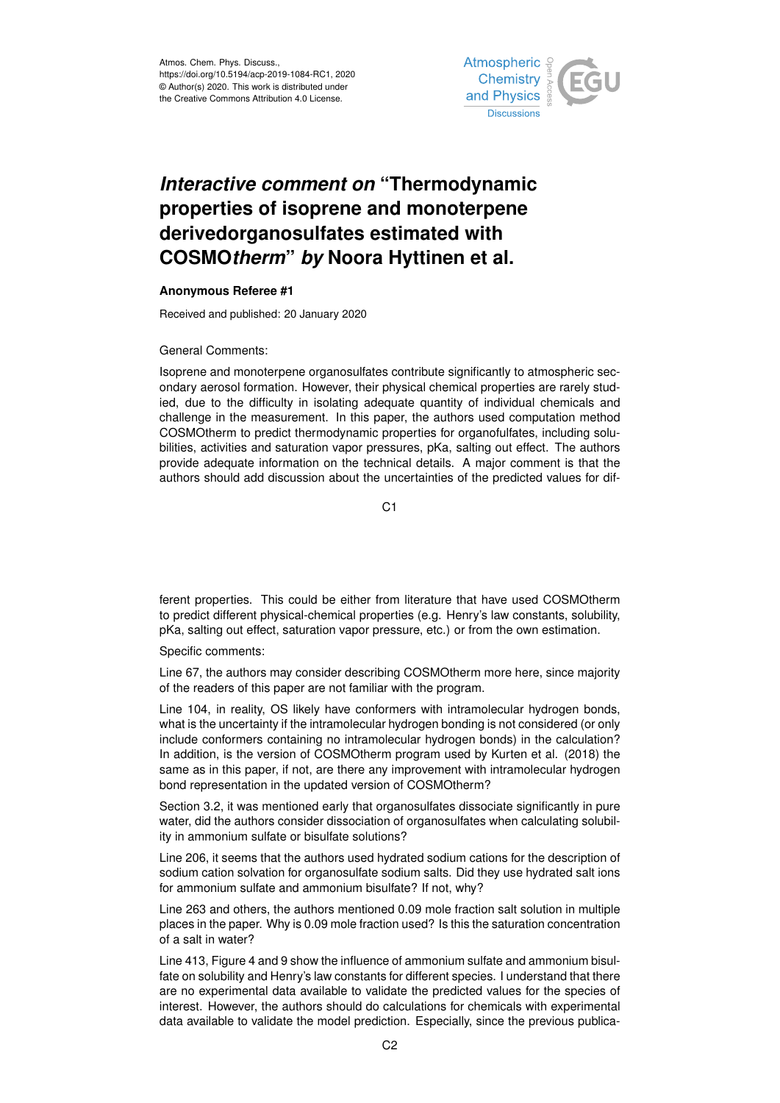

## *Interactive comment on* **"Thermodynamic properties of isoprene and monoterpene derivedorganosulfates estimated with COSMO***therm***"** *by* **Noora Hyttinen et al.**

## **Anonymous Referee #1**

Received and published: 20 January 2020

## General Comments:

Isoprene and monoterpene organosulfates contribute significantly to atmospheric secondary aerosol formation. However, their physical chemical properties are rarely studied, due to the difficulty in isolating adequate quantity of individual chemicals and challenge in the measurement. In this paper, the authors used computation method COSMOtherm to predict thermodynamic properties for organofulfates, including solubilities, activities and saturation vapor pressures, pKa, salting out effect. The authors provide adequate information on the technical details. A major comment is that the authors should add discussion about the uncertainties of the predicted values for dif-

 $C<sub>1</sub>$ 

ferent properties. This could be either from literature that have used COSMOtherm to predict different physical-chemical properties (e.g. Henry's law constants, solubility, pKa, salting out effect, saturation vapor pressure, etc.) or from the own estimation.

Specific comments:

Line 67, the authors may consider describing COSMOtherm more here, since majority of the readers of this paper are not familiar with the program.

Line 104, in reality, OS likely have conformers with intramolecular hydrogen bonds, what is the uncertainty if the intramolecular hydrogen bonding is not considered (or only include conformers containing no intramolecular hydrogen bonds) in the calculation? In addition, is the version of COSMOtherm program used by Kurten et al. (2018) the same as in this paper, if not, are there any improvement with intramolecular hydrogen bond representation in the updated version of COSMOtherm?

Section 3.2, it was mentioned early that organosulfates dissociate significantly in pure water, did the authors consider dissociation of organosulfates when calculating solubility in ammonium sulfate or bisulfate solutions?

Line 206, it seems that the authors used hydrated sodium cations for the description of sodium cation solvation for organosulfate sodium salts. Did they use hydrated salt ions for ammonium sulfate and ammonium bisulfate? If not, why?

Line 263 and others, the authors mentioned 0.09 mole fraction salt solution in multiple places in the paper. Why is 0.09 mole fraction used? Is this the saturation concentration of a salt in water?

Line 413, Figure 4 and 9 show the influence of ammonium sulfate and ammonium bisulfate on solubility and Henry's law constants for different species. I understand that there are no experimental data available to validate the predicted values for the species of interest. However, the authors should do calculations for chemicals with experimental data available to validate the model prediction. Especially, since the previous publica